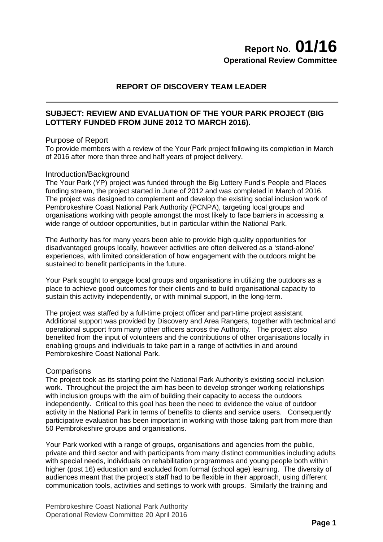# **Report No. 01/16 Operational Review Committee**

# **REPORT OF DISCOVERY TEAM LEADER**

# **SUBJECT: REVIEW AND EVALUATION OF THE YOUR PARK PROJECT (BIG LOTTERY FUNDED FROM JUNE 2012 TO MARCH 2016).**

# Purpose of Report

To provide members with a review of the Your Park project following its completion in March of 2016 after more than three and half years of project delivery.

#### Introduction/Background

The Your Park (YP) project was funded through the Big Lottery Fund's People and Places funding stream, the project started in June of 2012 and was completed in March of 2016. The project was designed to complement and develop the existing social inclusion work of Pembrokeshire Coast National Park Authority (PCNPA), targeting local groups and organisations working with people amongst the most likely to face barriers in accessing a wide range of outdoor opportunities, but in particular within the National Park.

The Authority has for many years been able to provide high quality opportunities for disadvantaged groups locally, however activities are often delivered as a 'stand-alone' experiences, with limited consideration of how engagement with the outdoors might be sustained to benefit participants in the future.

Your Park sought to engage local groups and organisations in utilizing the outdoors as a place to achieve good outcomes for their clients and to build organisational capacity to sustain this activity independently, or with minimal support, in the long-term.

The project was staffed by a full-time project officer and part-time project assistant. Additional support was provided by Discovery and Area Rangers, together with technical and operational support from many other officers across the Authority. The project also benefited from the input of volunteers and the contributions of other organisations locally in enabling groups and individuals to take part in a range of activities in and around Pembrokeshire Coast National Park.

# **Comparisons**

The project took as its starting point the National Park Authority's existing social inclusion work. Throughout the project the aim has been to develop stronger working relationships with inclusion groups with the aim of building their capacity to access the outdoors independently. Critical to this goal has been the need to evidence the value of outdoor activity in the National Park in terms of benefits to clients and service users. Consequently participative evaluation has been important in working with those taking part from more than 50 Pembrokeshire groups and organisations.

Your Park worked with a range of groups, organisations and agencies from the public, private and third sector and with participants from many distinct communities including adults with special needs, individuals on rehabilitation programmes and young people both within higher (post 16) education and excluded from formal (school age) learning. The diversity of audiences meant that the project's staff had to be flexible in their approach, using different communication tools, activities and settings to work with groups. Similarly the training and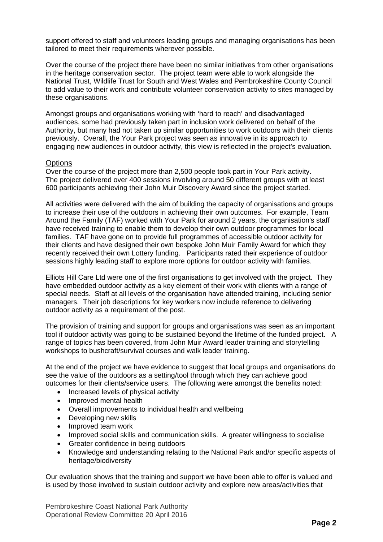support offered to staff and volunteers leading groups and managing organisations has been tailored to meet their requirements wherever possible.

Over the course of the project there have been no similar initiatives from other organisations in the heritage conservation sector. The project team were able to work alongside the National Trust, Wildlife Trust for South and West Wales and Pembrokeshire County Council to add value to their work and contribute volunteer conservation activity to sites managed by these organisations.

Amongst groups and organisations working with 'hard to reach' and disadvantaged audiences, some had previously taken part in inclusion work delivered on behalf of the Authority, but many had not taken up similar opportunities to work outdoors with their clients previously. Overall, the Your Park project was seen as innovative in its approach to engaging new audiences in outdoor activity, this view is reflected in the project's evaluation.

#### **Options**

Over the course of the project more than 2,500 people took part in Your Park activity. The project delivered over 400 sessions involving around 50 different groups with at least 600 participants achieving their John Muir Discovery Award since the project started.

All activities were delivered with the aim of building the capacity of organisations and groups to increase their use of the outdoors in achieving their own outcomes. For example, Team Around the Family (TAF) worked with Your Park for around 2 years, the organisation's staff have received training to enable them to develop their own outdoor programmes for local families. TAF have gone on to provide full programmes of accessible outdoor activity for their clients and have designed their own bespoke John Muir Family Award for which they recently received their own Lottery funding. Participants rated their experience of outdoor sessions highly leading staff to explore more options for outdoor activity with families.

Elliots Hill Care Ltd were one of the first organisations to get involved with the project. They have embedded outdoor activity as a key element of their work with clients with a range of special needs. Staff at all levels of the organisation have attended training, including senior managers. Their job descriptions for key workers now include reference to delivering outdoor activity as a requirement of the post.

The provision of training and support for groups and organisations was seen as an important tool if outdoor activity was going to be sustained beyond the lifetime of the funded project. A range of topics has been covered, from John Muir Award leader training and storytelling workshops to bushcraft/survival courses and walk leader training.

At the end of the project we have evidence to suggest that local groups and organisations do see the value of the outdoors as a setting/tool through which they can achieve good outcomes for their clients/service users. The following were amongst the benefits noted:

- Increased levels of physical activity
- Improved mental health
- Overall improvements to individual health and wellbeing
- Developing new skills
- Improved team work
- Improved social skills and communication skills. A greater willingness to socialise
- Greater confidence in being outdoors
- Knowledge and understanding relating to the National Park and/or specific aspects of heritage/biodiversity

Our evaluation shows that the training and support we have been able to offer is valued and is used by those involved to sustain outdoor activity and explore new areas/activities that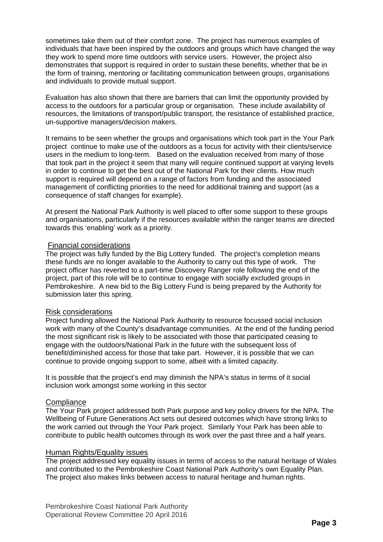sometimes take them out of their comfort zone. The project has numerous examples of individuals that have been inspired by the outdoors and groups which have changed the way they work to spend more time outdoors with service users. However, the project also demonstrates that support is required in order to sustain these benefits, whether that be in the form of training, mentoring or facilitating communication between groups, organisations and individuals to provide mutual support.

Evaluation has also shown that there are barriers that can limit the opportunity provided by access to the outdoors for a particular group or organisation. These include availability of resources, the limitations of transport/public transport, the resistance of established practice, un-supportive managers/decision makers.

It remains to be seen whether the groups and organisations which took part in the Your Park project continue to make use of the outdoors as a focus for activity with their clients/service users in the medium to long-term. Based on the evaluation received from many of those that took part in the project it seem that many will require continued support at varying levels in order to continue to get the best out of the National Park for their clients. How much support is required will depend on a range of factors from funding and the associated management of conflicting priorities to the need for additional training and support (as a consequence of staff changes for example).

At present the National Park Authority is well placed to offer some support to these groups and organisations, particularly if the resources available within the ranger teams are directed towards this 'enabling' work as a priority.

# Financial considerations

The project was fully funded by the Big Lottery funded. The project's completion means these funds are no longer available to the Authority to carry out this type of work. The project officer has reverted to a part-time Discovery Ranger role following the end of the project, part of this role will be to continue to engage with socially excluded groups in Pembrokeshire. A new bid to the Big Lottery Fund is being prepared by the Authority for submission later this spring.

# Risk considerations

Project funding allowed the National Park Authority to resource focussed social inclusion work with many of the County's disadvantage communities. At the end of the funding period the most significant risk is likely to be associated with those that participated ceasing to engage with the outdoors/National Park in the future with the subsequent loss of benefit/diminished access for those that take part. However, it is possible that we can continue to provide ongoing support to some, albeit with a limited capacity.

It is possible that the project's end may diminish the NPA's status in terms of it social inclusion work amongst some working in this sector

# **Compliance**

The Your Park project addressed both Park purpose and key policy drivers for the NPA. The Wellbeing of Future Generations Act sets out desired outcomes which have strong links to the work carried out through the Your Park project. Similarly Your Park has been able to contribute to public health outcomes through its work over the past three and a half years.

# Human Rights/Equality issues

The project addressed key equality issues in terms of access to the natural heritage of Wales and contributed to the Pembrokeshire Coast National Park Authority's own Equality Plan. The project also makes links between access to natural heritage and human rights.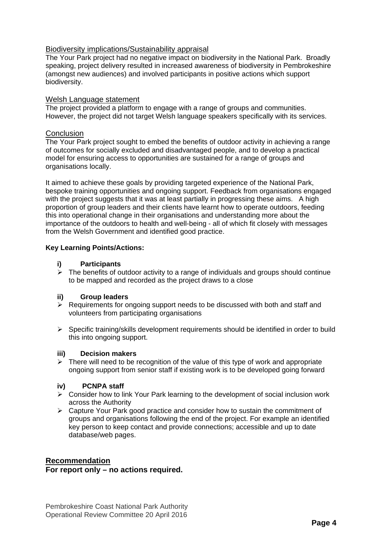# Biodiversity implications/Sustainability appraisal

The Your Park project had no negative impact on biodiversity in the National Park. Broadly speaking, project delivery resulted in increased awareness of biodiversity in Pembrokeshire (amongst new audiences) and involved participants in positive actions which support biodiversity.

# Welsh Language statement

The project provided a platform to engage with a range of groups and communities. However, the project did not target Welsh language speakers specifically with its services.

# **Conclusion**

The Your Park project sought to embed the benefits of outdoor activity in achieving a range of outcomes for socially excluded and disadvantaged people, and to develop a practical model for ensuring access to opportunities are sustained for a range of groups and organisations locally.

It aimed to achieve these goals by providing targeted experience of the National Park, bespoke training opportunities and ongoing support. Feedback from organisations engaged with the project suggests that it was at least partially in progressing these aims. A high proportion of group leaders and their clients have learnt how to operate outdoors, feeding this into operational change in their organisations and understanding more about the importance of the outdoors to health and well-being - all of which fit closely with messages from the Welsh Government and identified good practice.

# **Key Learning Points/Actions:**

# **i) Participants**

 $\triangleright$  The benefits of outdoor activity to a range of individuals and groups should continue to be mapped and recorded as the project draws to a close

# **ii) Group leaders**

- $\triangleright$  Requirements for ongoing support needs to be discussed with both and staff and volunteers from participating organisations
- $\triangleright$  Specific training/skills development requirements should be identified in order to build this into ongoing support.

# **iii) Decision makers**

 $\triangleright$  There will need to be recognition of the value of this type of work and appropriate ongoing support from senior staff if existing work is to be developed going forward

# **iv) PCNPA staff**

- $\triangleright$  Consider how to link Your Park learning to the development of social inclusion work across the Authority
- Capture Your Park good practice and consider how to sustain the commitment of groups and organisations following the end of the project. For example an identified key person to keep contact and provide connections; accessible and up to date database/web pages.

# **Recommendation**

**For report only – no actions required.**